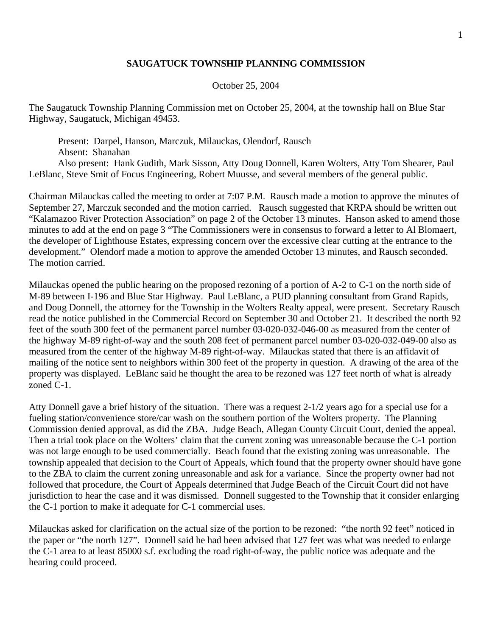## **SAUGATUCK TOWNSHIP PLANNING COMMISSION**

## October 25, 2004

The Saugatuck Township Planning Commission met on October 25, 2004, at the township hall on Blue Star Highway, Saugatuck, Michigan 49453.

 Present: Darpel, Hanson, Marczuk, Milauckas, Olendorf, Rausch Absent: Shanahan Also present: Hank Gudith, Mark Sisson, Atty Doug Donnell, Karen Wolters, Atty Tom Shearer, Paul LeBlanc, Steve Smit of Focus Engineering, Robert Muusse, and several members of the general public.

Chairman Milauckas called the meeting to order at 7:07 P.M. Rausch made a motion to approve the minutes of September 27, Marczuk seconded and the motion carried. Rausch suggested that KRPA should be written out "Kalamazoo River Protection Association" on page 2 of the October 13 minutes. Hanson asked to amend those minutes to add at the end on page 3 "The Commissioners were in consensus to forward a letter to Al Blomaert, the developer of Lighthouse Estates, expressing concern over the excessive clear cutting at the entrance to the development." Olendorf made a motion to approve the amended October 13 minutes, and Rausch seconded. The motion carried.

Milauckas opened the public hearing on the proposed rezoning of a portion of A-2 to C-1 on the north side of M-89 between I-196 and Blue Star Highway. Paul LeBlanc, a PUD planning consultant from Grand Rapids, and Doug Donnell, the attorney for the Township in the Wolters Realty appeal, were present. Secretary Rausch read the notice published in the Commercial Record on September 30 and October 21. It described the north 92 feet of the south 300 feet of the permanent parcel number 03-020-032-046-00 as measured from the center of the highway M-89 right-of-way and the south 208 feet of permanent parcel number 03-020-032-049-00 also as measured from the center of the highway M-89 right-of-way. Milauckas stated that there is an affidavit of mailing of the notice sent to neighbors within 300 feet of the property in question. A drawing of the area of the property was displayed. LeBlanc said he thought the area to be rezoned was 127 feet north of what is already zoned C-1.

Atty Donnell gave a brief history of the situation. There was a request 2-1/2 years ago for a special use for a fueling station/convenience store/car wash on the southern portion of the Wolters property. The Planning Commission denied approval, as did the ZBA. Judge Beach, Allegan County Circuit Court, denied the appeal. Then a trial took place on the Wolters' claim that the current zoning was unreasonable because the C-1 portion was not large enough to be used commercially. Beach found that the existing zoning was unreasonable. The township appealed that decision to the Court of Appeals, which found that the property owner should have gone to the ZBA to claim the current zoning unreasonable and ask for a variance. Since the property owner had not followed that procedure, the Court of Appeals determined that Judge Beach of the Circuit Court did not have jurisdiction to hear the case and it was dismissed. Donnell suggested to the Township that it consider enlarging the C-1 portion to make it adequate for C-1 commercial uses.

Milauckas asked for clarification on the actual size of the portion to be rezoned: "the north 92 feet" noticed in the paper or "the north 127". Donnell said he had been advised that 127 feet was what was needed to enlarge the C-1 area to at least 85000 s.f. excluding the road right-of-way, the public notice was adequate and the hearing could proceed.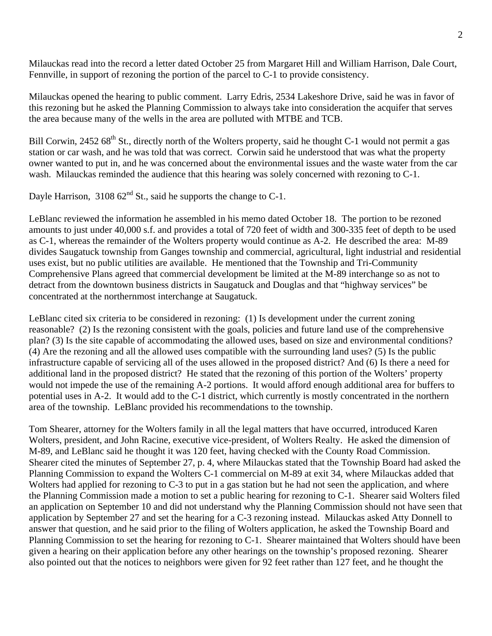Milauckas read into the record a letter dated October 25 from Margaret Hill and William Harrison, Dale Court, Fennville, in support of rezoning the portion of the parcel to C-1 to provide consistency.

Milauckas opened the hearing to public comment. Larry Edris, 2534 Lakeshore Drive, said he was in favor of this rezoning but he asked the Planning Commission to always take into consideration the acquifer that serves the area because many of the wells in the area are polluted with MTBE and TCB.

Bill Corwin, 2452 68<sup>th</sup> St., directly north of the Wolters property, said he thought C-1 would not permit a gas station or car wash, and he was told that was correct. Corwin said he understood that was what the property owner wanted to put in, and he was concerned about the environmental issues and the waste water from the car wash. Milauckas reminded the audience that this hearing was solely concerned with rezoning to C-1.

Dayle Harrison,  $310862^{\text{nd}}$  St., said he supports the change to C-1.

LeBlanc reviewed the information he assembled in his memo dated October 18. The portion to be rezoned amounts to just under 40,000 s.f. and provides a total of 720 feet of width and 300-335 feet of depth to be used as C-1, whereas the remainder of the Wolters property would continue as A-2. He described the area: M-89 divides Saugatuck township from Ganges township and commercial, agricultural, light industrial and residential uses exist, but no public utilities are available. He mentioned that the Township and Tri-Community Comprehensive Plans agreed that commercial development be limited at the M-89 interchange so as not to detract from the downtown business districts in Saugatuck and Douglas and that "highway services" be concentrated at the northernmost interchange at Saugatuck.

LeBlanc cited six criteria to be considered in rezoning: (1) Is development under the current zoning reasonable? (2) Is the rezoning consistent with the goals, policies and future land use of the comprehensive plan? (3) Is the site capable of accommodating the allowed uses, based on size and environmental conditions? (4) Are the rezoning and all the allowed uses compatible with the surrounding land uses? (5) Is the public infrastructure capable of servicing all of the uses allowed in the proposed district? And (6) Is there a need for additional land in the proposed district? He stated that the rezoning of this portion of the Wolters' property would not impede the use of the remaining A-2 portions. It would afford enough additional area for buffers to potential uses in A-2. It would add to the C-1 district, which currently is mostly concentrated in the northern area of the township. LeBlanc provided his recommendations to the township.

Tom Shearer, attorney for the Wolters family in all the legal matters that have occurred, introduced Karen Wolters, president, and John Racine, executive vice-president, of Wolters Realty. He asked the dimension of M-89, and LeBlanc said he thought it was 120 feet, having checked with the County Road Commission. Shearer cited the minutes of September 27, p. 4, where Milauckas stated that the Township Board had asked the Planning Commission to expand the Wolters C-1 commercial on M-89 at exit 34, where Milauckas added that Wolters had applied for rezoning to C-3 to put in a gas station but he had not seen the application, and where the Planning Commission made a motion to set a public hearing for rezoning to C-1. Shearer said Wolters filed an application on September 10 and did not understand why the Planning Commission should not have seen that application by September 27 and set the hearing for a C-3 rezoning instead. Milauckas asked Atty Donnell to answer that question, and he said prior to the filing of Wolters application, he asked the Township Board and Planning Commission to set the hearing for rezoning to C-1. Shearer maintained that Wolters should have been given a hearing on their application before any other hearings on the township's proposed rezoning. Shearer also pointed out that the notices to neighbors were given for 92 feet rather than 127 feet, and he thought the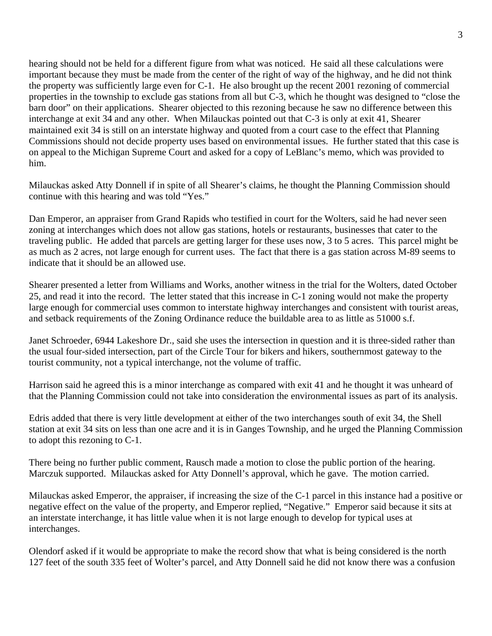hearing should not be held for a different figure from what was noticed. He said all these calculations were important because they must be made from the center of the right of way of the highway, and he did not think the property was sufficiently large even for C-1. He also brought up the recent 2001 rezoning of commercial properties in the township to exclude gas stations from all but C-3, which he thought was designed to "close the barn door" on their applications. Shearer objected to this rezoning because he saw no difference between this interchange at exit 34 and any other. When Milauckas pointed out that C-3 is only at exit 41, Shearer maintained exit 34 is still on an interstate highway and quoted from a court case to the effect that Planning Commissions should not decide property uses based on environmental issues. He further stated that this case is on appeal to the Michigan Supreme Court and asked for a copy of LeBlanc's memo, which was provided to him.

Milauckas asked Atty Donnell if in spite of all Shearer's claims, he thought the Planning Commission should continue with this hearing and was told "Yes."

Dan Emperor, an appraiser from Grand Rapids who testified in court for the Wolters, said he had never seen zoning at interchanges which does not allow gas stations, hotels or restaurants, businesses that cater to the traveling public. He added that parcels are getting larger for these uses now, 3 to 5 acres. This parcel might be as much as 2 acres, not large enough for current uses. The fact that there is a gas station across M-89 seems to indicate that it should be an allowed use.

Shearer presented a letter from Williams and Works, another witness in the trial for the Wolters, dated October 25, and read it into the record. The letter stated that this increase in C-1 zoning would not make the property large enough for commercial uses common to interstate highway interchanges and consistent with tourist areas, and setback requirements of the Zoning Ordinance reduce the buildable area to as little as 51000 s.f.

Janet Schroeder, 6944 Lakeshore Dr., said she uses the intersection in question and it is three-sided rather than the usual four-sided intersection, part of the Circle Tour for bikers and hikers, southernmost gateway to the tourist community, not a typical interchange, not the volume of traffic.

Harrison said he agreed this is a minor interchange as compared with exit 41 and he thought it was unheard of that the Planning Commission could not take into consideration the environmental issues as part of its analysis.

Edris added that there is very little development at either of the two interchanges south of exit 34, the Shell station at exit 34 sits on less than one acre and it is in Ganges Township, and he urged the Planning Commission to adopt this rezoning to C-1.

There being no further public comment, Rausch made a motion to close the public portion of the hearing. Marczuk supported. Milauckas asked for Atty Donnell's approval, which he gave. The motion carried.

Milauckas asked Emperor, the appraiser, if increasing the size of the C-1 parcel in this instance had a positive or negative effect on the value of the property, and Emperor replied, "Negative." Emperor said because it sits at an interstate interchange, it has little value when it is not large enough to develop for typical uses at interchanges.

Olendorf asked if it would be appropriate to make the record show that what is being considered is the north 127 feet of the south 335 feet of Wolter's parcel, and Atty Donnell said he did not know there was a confusion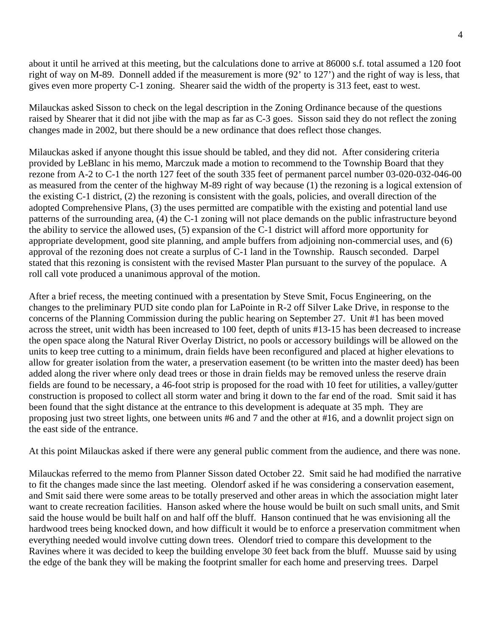about it until he arrived at this meeting, but the calculations done to arrive at 86000 s.f. total assumed a 120 foot right of way on M-89. Donnell added if the measurement is more (92' to 127') and the right of way is less, that gives even more property C-1 zoning. Shearer said the width of the property is 313 feet, east to west.

Milauckas asked Sisson to check on the legal description in the Zoning Ordinance because of the questions raised by Shearer that it did not jibe with the map as far as C-3 goes. Sisson said they do not reflect the zoning changes made in 2002, but there should be a new ordinance that does reflect those changes.

Milauckas asked if anyone thought this issue should be tabled, and they did not. After considering criteria provided by LeBlanc in his memo, Marczuk made a motion to recommend to the Township Board that they rezone from A-2 to C-1 the north 127 feet of the south 335 feet of permanent parcel number 03-020-032-046-00 as measured from the center of the highway M-89 right of way because (1) the rezoning is a logical extension of the existing C-1 district, (2) the rezoning is consistent with the goals, policies, and overall direction of the adopted Comprehensive Plans, (3) the uses permitted are compatible with the existing and potential land use patterns of the surrounding area, (4) the C-1 zoning will not place demands on the public infrastructure beyond the ability to service the allowed uses, (5) expansion of the C-1 district will afford more opportunity for appropriate development, good site planning, and ample buffers from adjoining non-commercial uses, and (6) approval of the rezoning does not create a surplus of C-1 land in the Township. Rausch seconded. Darpel stated that this rezoning is consistent with the revised Master Plan pursuant to the survey of the populace. A roll call vote produced a unanimous approval of the motion.

After a brief recess, the meeting continued with a presentation by Steve Smit, Focus Engineering, on the changes to the preliminary PUD site condo plan for LaPointe in R-2 off Silver Lake Drive, in response to the concerns of the Planning Commission during the public hearing on September 27. Unit #1 has been moved across the street, unit width has been increased to 100 feet, depth of units #13-15 has been decreased to increase the open space along the Natural River Overlay District, no pools or accessory buildings will be allowed on the units to keep tree cutting to a minimum, drain fields have been reconfigured and placed at higher elevations to allow for greater isolation from the water, a preservation easement (to be written into the master deed) has been added along the river where only dead trees or those in drain fields may be removed unless the reserve drain fields are found to be necessary, a 46-foot strip is proposed for the road with 10 feet for utilities, a valley/gutter construction is proposed to collect all storm water and bring it down to the far end of the road. Smit said it has been found that the sight distance at the entrance to this development is adequate at 35 mph. They are proposing just two street lights, one between units #6 and 7 and the other at #16, and a downlit project sign on the east side of the entrance.

At this point Milauckas asked if there were any general public comment from the audience, and there was none.

Milauckas referred to the memo from Planner Sisson dated October 22. Smit said he had modified the narrative to fit the changes made since the last meeting. Olendorf asked if he was considering a conservation easement, and Smit said there were some areas to be totally preserved and other areas in which the association might later want to create recreation facilities. Hanson asked where the house would be built on such small units, and Smit said the house would be built half on and half off the bluff. Hanson continued that he was envisioning all the hardwood trees being knocked down, and how difficult it would be to enforce a preservation commitment when everything needed would involve cutting down trees. Olendorf tried to compare this development to the Ravines where it was decided to keep the building envelope 30 feet back from the bluff. Muusse said by using the edge of the bank they will be making the footprint smaller for each home and preserving trees. Darpel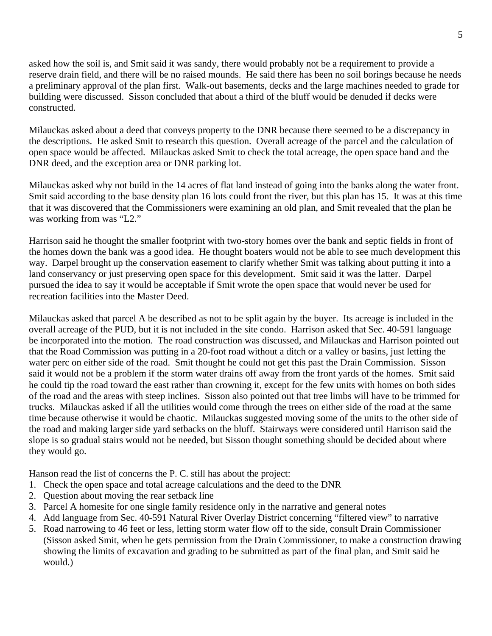asked how the soil is, and Smit said it was sandy, there would probably not be a requirement to provide a reserve drain field, and there will be no raised mounds. He said there has been no soil borings because he needs a preliminary approval of the plan first. Walk-out basements, decks and the large machines needed to grade for building were discussed. Sisson concluded that about a third of the bluff would be denuded if decks were constructed.

Milauckas asked about a deed that conveys property to the DNR because there seemed to be a discrepancy in the descriptions. He asked Smit to research this question. Overall acreage of the parcel and the calculation of open space would be affected. Milauckas asked Smit to check the total acreage, the open space band and the DNR deed, and the exception area or DNR parking lot.

Milauckas asked why not build in the 14 acres of flat land instead of going into the banks along the water front. Smit said according to the base density plan 16 lots could front the river, but this plan has 15. It was at this time that it was discovered that the Commissioners were examining an old plan, and Smit revealed that the plan he was working from was "L2."

Harrison said he thought the smaller footprint with two-story homes over the bank and septic fields in front of the homes down the bank was a good idea. He thought boaters would not be able to see much development this way. Darpel brought up the conservation easement to clarify whether Smit was talking about putting it into a land conservancy or just preserving open space for this development. Smit said it was the latter. Darpel pursued the idea to say it would be acceptable if Smit wrote the open space that would never be used for recreation facilities into the Master Deed.

Milauckas asked that parcel A be described as not to be split again by the buyer. Its acreage is included in the overall acreage of the PUD, but it is not included in the site condo. Harrison asked that Sec. 40-591 language be incorporated into the motion. The road construction was discussed, and Milauckas and Harrison pointed out that the Road Commission was putting in a 20-foot road without a ditch or a valley or basins, just letting the water perc on either side of the road. Smit thought he could not get this past the Drain Commission. Sisson said it would not be a problem if the storm water drains off away from the front yards of the homes. Smit said he could tip the road toward the east rather than crowning it, except for the few units with homes on both sides of the road and the areas with steep inclines. Sisson also pointed out that tree limbs will have to be trimmed for trucks. Milauckas asked if all the utilities would come through the trees on either side of the road at the same time because otherwise it would be chaotic. Milauckas suggested moving some of the units to the other side of the road and making larger side yard setbacks on the bluff. Stairways were considered until Harrison said the slope is so gradual stairs would not be needed, but Sisson thought something should be decided about where they would go.

Hanson read the list of concerns the P. C. still has about the project:

- 1. Check the open space and total acreage calculations and the deed to the DNR
- 2. Question about moving the rear setback line
- 3. Parcel A homesite for one single family residence only in the narrative and general notes
- 4. Add language from Sec. 40-591 Natural River Overlay District concerning "filtered view" to narrative
- 5. Road narrowing to 46 feet or less, letting storm water flow off to the side, consult Drain Commissioner (Sisson asked Smit, when he gets permission from the Drain Commissioner, to make a construction drawing showing the limits of excavation and grading to be submitted as part of the final plan, and Smit said he would.)